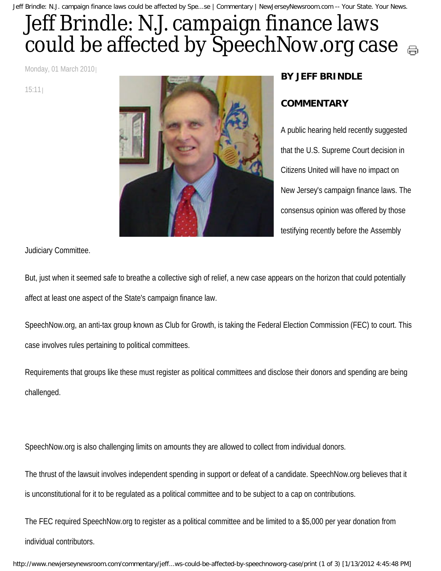Jeff Brindle: N.J. campaign finance laws could be affected by Spe...se | Commentary | NewJerseyNewsroom.com -- Your State. Your News.

## Jeff Brindle: N.J. campaign finance laws could be affected by SpeechNow.org case  $\epsilon_{\text{m}}$

Monday, 01 March 2010

15:11



## **BY JEFF BRINDLE**

## **COMMENTARY**

A public hearing held recently suggested that the U.S. Supreme Court decision in Citizens United will have no impact on New Jersey's campaign finance laws. The consensus opinion was offered by those testifying recently before the Assembly

Judiciary Committee.

But, just when it seemed safe to breathe a collective sigh of relief, a new case appears on the horizon that could potentially affect at least one aspect of the State's campaign finance law.

SpeechNow.org, an anti-tax group known as Club for Growth, is taking the Federal Election Commission (FEC) to court. This case involves rules pertaining to political committees.

Requirements that groups like these must register as political committees and disclose their donors and spending are being challenged.

SpeechNow.org is also challenging limits on amounts they are allowed to collect from individual donors.

The thrust of the lawsuit involves independent spending in support or defeat of a candidate. SpeechNow.org believes that it is unconstitutional for it to be regulated as a political committee and to be subject to a cap on contributions.

The FEC required SpeechNow.org to register as a political committee and be limited to a \$5,000 per year donation from individual contributors.

http://www.newjerseynewsroom.com/commentary/jeff...ws-could-be-affected-by-speechnoworg-case/print (1 of 3) [1/13/2012 4:45:48 PM]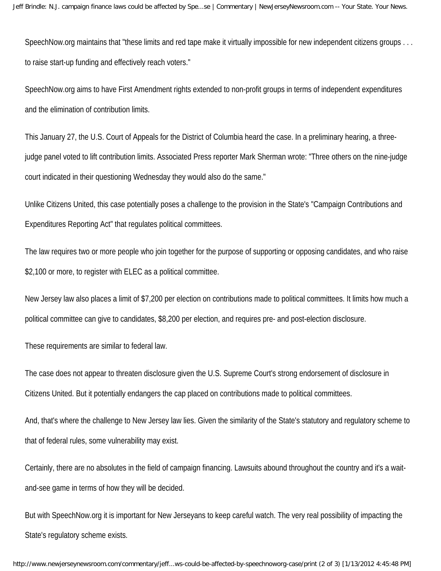SpeechNow.org maintains that "these limits and red tape make it virtually impossible for new independent citizens groups . . . to raise start-up funding and effectively reach voters."

SpeechNow.org aims to have First Amendment rights extended to non-profit groups in terms of independent expenditures and the elimination of contribution limits.

This January 27, the U.S. Court of Appeals for the District of Columbia heard the case. In a preliminary hearing, a threejudge panel voted to lift contribution limits. Associated Press reporter Mark Sherman wrote: "Three others on the nine-judge court indicated in their questioning Wednesday they would also do the same."

Unlike Citizens United, this case potentially poses a challenge to the provision in the State's "Campaign Contributions and Expenditures Reporting Act" that regulates political committees.

The law requires two or more people who join together for the purpose of supporting or opposing candidates, and who raise \$2,100 or more, to register with ELEC as a political committee.

New Jersey law also places a limit of \$7,200 per election on contributions made to political committees. It limits how much a political committee can give to candidates, \$8,200 per election, and requires pre- and post-election disclosure.

These requirements are similar to federal law.

The case does not appear to threaten disclosure given the U.S. Supreme Court's strong endorsement of disclosure in Citizens United. But it potentially endangers the cap placed on contributions made to political committees.

And, that's where the challenge to New Jersey law lies. Given the similarity of the State's statutory and regulatory scheme to that of federal rules, some vulnerability may exist.

Certainly, there are no absolutes in the field of campaign financing. Lawsuits abound throughout the country and it's a waitand-see game in terms of how they will be decided.

But with SpeechNow.org it is important for New Jerseyans to keep careful watch. The very real possibility of impacting the State's regulatory scheme exists.